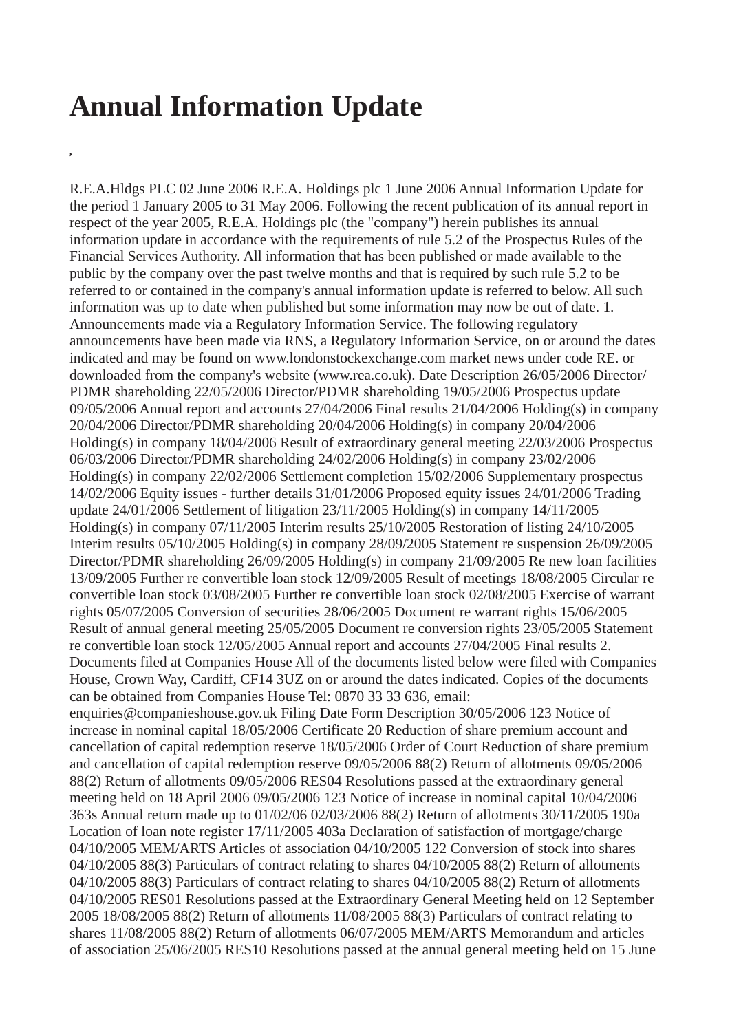## **Annual Information Update**

**,**

R.E.A.Hldgs PLC 02 June 2006 R.E.A. Holdings plc 1 June 2006 Annual Information Update for the period 1 January 2005 to 31 May 2006. Following the recent publication of its annual report in respect of the year 2005, R.E.A. Holdings plc (the "company") herein publishes its annual information update in accordance with the requirements of rule 5.2 of the Prospectus Rules of the Financial Services Authority. All information that has been published or made available to the public by the company over the past twelve months and that is required by such rule 5.2 to be referred to or contained in the company's annual information update is referred to below. All such information was up to date when published but some information may now be out of date. 1. Announcements made via a Regulatory Information Service. The following regulatory announcements have been made via RNS, a Regulatory Information Service, on or around the dates indicated and may be found on www.londonstockexchange.com market news under code RE. or downloaded from the company's website (www.rea.co.uk). Date Description 26/05/2006 Director/ PDMR shareholding 22/05/2006 Director/PDMR shareholding 19/05/2006 Prospectus update 09/05/2006 Annual report and accounts 27/04/2006 Final results 21/04/2006 Holding(s) in company 20/04/2006 Director/PDMR shareholding 20/04/2006 Holding(s) in company 20/04/2006 Holding(s) in company 18/04/2006 Result of extraordinary general meeting 22/03/2006 Prospectus 06/03/2006 Director/PDMR shareholding 24/02/2006 Holding(s) in company 23/02/2006 Holding(s) in company 22/02/2006 Settlement completion 15/02/2006 Supplementary prospectus 14/02/2006 Equity issues - further details 31/01/2006 Proposed equity issues 24/01/2006 Trading update 24/01/2006 Settlement of litigation 23/11/2005 Holding(s) in company 14/11/2005 Holding(s) in company 07/11/2005 Interim results 25/10/2005 Restoration of listing 24/10/2005 Interim results 05/10/2005 Holding(s) in company 28/09/2005 Statement re suspension 26/09/2005 Director/PDMR shareholding 26/09/2005 Holding(s) in company 21/09/2005 Re new loan facilities 13/09/2005 Further re convertible loan stock 12/09/2005 Result of meetings 18/08/2005 Circular re convertible loan stock 03/08/2005 Further re convertible loan stock 02/08/2005 Exercise of warrant rights 05/07/2005 Conversion of securities 28/06/2005 Document re warrant rights 15/06/2005 Result of annual general meeting 25/05/2005 Document re conversion rights 23/05/2005 Statement re convertible loan stock 12/05/2005 Annual report and accounts 27/04/2005 Final results 2. Documents filed at Companies House All of the documents listed below were filed with Companies House, Crown Way, Cardiff, CF14 3UZ on or around the dates indicated. Copies of the documents can be obtained from Companies House Tel: 0870 33 33 636, email: enquiries@companieshouse.gov.uk Filing Date Form Description 30/05/2006 123 Notice of increase in nominal capital 18/05/2006 Certificate 20 Reduction of share premium account and cancellation of capital redemption reserve 18/05/2006 Order of Court Reduction of share premium and cancellation of capital redemption reserve 09/05/2006 88(2) Return of allotments 09/05/2006 88(2) Return of allotments 09/05/2006 RES04 Resolutions passed at the extraordinary general meeting held on 18 April 2006 09/05/2006 123 Notice of increase in nominal capital 10/04/2006 363s Annual return made up to 01/02/06 02/03/2006 88(2) Return of allotments 30/11/2005 190a Location of loan note register 17/11/2005 403a Declaration of satisfaction of mortgage/charge 04/10/2005 MEM/ARTS Articles of association 04/10/2005 122 Conversion of stock into shares 04/10/2005 88(3) Particulars of contract relating to shares 04/10/2005 88(2) Return of allotments 04/10/2005 88(3) Particulars of contract relating to shares 04/10/2005 88(2) Return of allotments 04/10/2005 RES01 Resolutions passed at the Extraordinary General Meeting held on 12 September 2005 18/08/2005 88(2) Return of allotments 11/08/2005 88(3) Particulars of contract relating to shares 11/08/2005 88(2) Return of allotments 06/07/2005 MEM/ARTS Memorandum and articles of association 25/06/2005 RES10 Resolutions passed at the annual general meeting held on 15 June